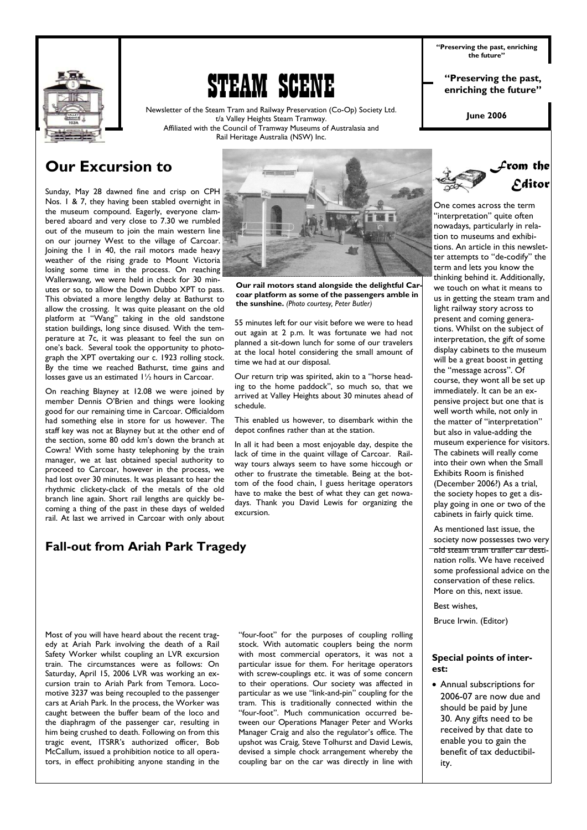

# 'eam scene

Newsletter of the Steam Tram and Railway Preservation (Co-Op) Society Ltd. t/a Valley Heights Steam Tramway. Affiliated with the Council of Tramway Museums of Australasia and Rail Heritage Australia (NSW) Inc.

**"Preserving the past, enriching the future"** 

**"Preserving the past, enriching the future"** 

**June 2006** 

"interpretation" quite often

*From the Editor* 

# **Our Excursion to**

Sunday, May 28 dawned fine and crisp on CPH Nos. 1 & 7, they having been stabled overnight in the museum compound. Eagerly, everyone clambered aboard and very close to 7.30 we rumbled out of the museum to join the main western line on our journey West to the village of Carcoar. Joining the 1 in 40, the rail motors made heavy weather of the rising grade to Mount Victoria losing some time in the process. On reaching Wallerawang, we were held in check for 30 minutes or so, to allow the Down Dubbo XPT to pass. This obviated a more lengthy delay at Bathurst to allow the crossing. It was quite pleasant on the old platform at "Wang" taking in the old sandstone station buildings, long since disused. With the temperature at 7c, it was pleasant to feel the sun on one's back. Several took the opportunity to photograph the XPT overtaking our c. 1923 rolling stock. By the time we reached Bathurst, time gains and losses gave us an estimated 1½ hours in Carcoar.

On reaching Blayney at 12.08 we were joined by member Dennis O'Brien and things were looking good for our remaining time in Carcoar. Officialdom had something else in store for us however. The staff key was not at Blayney but at the other end of the section, some 80 odd km's down the branch at Cowra! With some hasty telephoning by the train manager, we at last obtained special authority to proceed to Carcoar, however in the process, we had lost over 30 minutes. It was pleasant to hear the rhythmic clickety-clack of the metals of the old branch line again. Short rail lengths are quickly becoming a thing of the past in these days of welded rail. At last we arrived in Carcoar with only about

# **Fall-out from Ariah Park Tragedy**

Most of you will have heard about the recent tragedy at Ariah Park involving the death of a Rail Safety Worker whilst coupling an LVR excursion train. The circumstances were as follows: On Saturday, April 15, 2006 LVR was working an excursion train to Ariah Park from Temora. Locomotive 3237 was being recoupled to the passenger cars at Ariah Park. In the process, the Worker was caught between the buffer beam of the loco and the diaphragm of the passenger car, resulting in him being crushed to death. Following on from this tragic event, ITSRR's authorized officer, Bob McCallum, issued a prohibition notice to all operators, in effect prohibiting anyone standing in the

"four-foot" for the purposes of coupling rolling stock. With automatic couplers being the norm with most commercial operators, it was not a particular issue for them. For heritage operators with screw-couplings etc. it was of some concern to their operations. Our society was affected in particular as we use "link-and-pin" coupling for the tram. This is traditionally connected within the "four-foot". Much communication occurred between our Operations Manager Peter and Works Manager Craig and also the regulator's office. The upshot was Craig, Steve Tolhurst and David Lewis, devised a simple chock arrangement whereby the coupling bar on the car was directly in line with



**Our rail motors stand alongside the delightful Carcoar platform as some of the passengers amble in the sunshine.** *(Photo courtesy, Peter Butler)* 

55 minutes left for our visit before we were to head out again at 2 p.m. It was fortunate we had not planned a sit-down lunch for some of our travelers at the local hotel considering the small amount of time we had at our disposal.

Our return trip was spirited, akin to a "horse heading to the home paddock", so much so, that we arrived at Valley Heights about 30 minutes ahead of schedule.

This enabled us however, to disembark within the depot confines rather than at the station.

In all it had been a most enjoyable day, despite the lack of time in the quaint village of Carcoar. Railway tours always seem to have some hiccough or other to frustrate the timetable. Being at the bottom of the food chain, I guess heritage operators have to make the best of what they can get nowadays. Thank you David Lewis for organizing the excursion.

nowadays, particularly in relation to museums and exhibitions. An article in this newsletter attempts to "de-codify" the term and lets you know the thinking behind it. Additionally, we touch on what it means to us in getting the steam tram and light railway story across to present and coming generations. Whilst on the subject of interpretation, the gift of some display cabinets to the museum will be a great boost in getting the "message across". Of course, they wont all be set up immediately. It can be an expensive project but one that is well worth while, not only in the matter of "interpretation" but also in value-adding the museum experience for visitors. The cabinets will really come into their own when the Small Exhibits Room is finished (December 2006?) As a trial, the society hopes to get a display going in one or two of the cabinets in fairly quick time.

As mentioned last issue, the society now possesses two very old steam tram trailer car destination rolls. We have received some professional advice on the conservation of these relics. More on this, next issue.

Best wishes,

Bruce Irwin. (Editor)

#### **Special points of interest:**

• Annual subscriptions for 2006-07 are now due and should be paid by June 30. Any gifts need to be received by that date to enable you to gain the benefit of tax deductibility.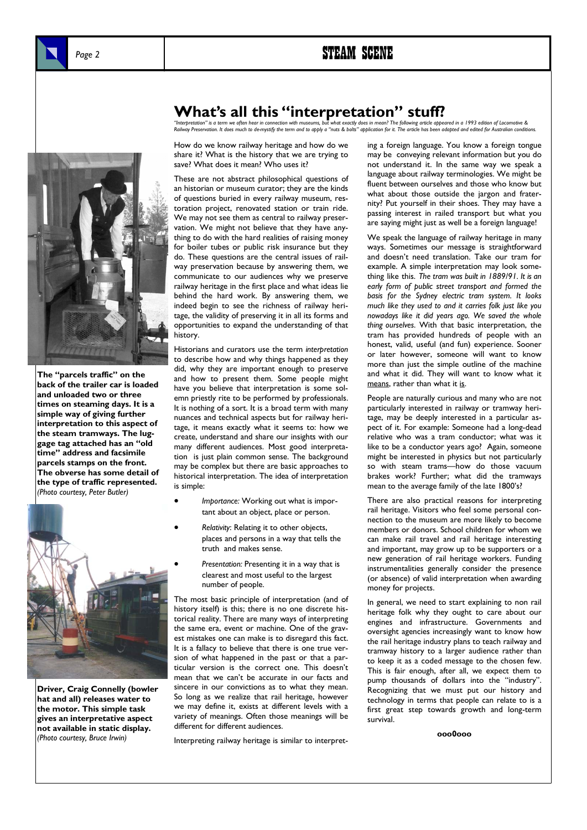# Page 2 **STEAM SCENE**



**The "parcels traffic" on the back of the trailer car is loaded and unloaded two or three times on steaming days. It is a simple way of giving further interpretation to this aspect of the steam tramways. The luggage tag attached has an "old time" address and facsimile parcels stamps on the front. The obverse has some detail of the type of traffic represented.**  *(Photo courtesy, Peter Butler)* 



**Driver, Craig Connelly (bowler hat and all) releases water to the motor. This simple task gives an interpretative aspect not available in static display.**  *(Photo courtesy, Bruce Irwin)* 

# **What's all this "interpretation" is tuff?**<br>"Interpretation" is a term we often bear in connection with museums, but what exactly does in mean? The following article appo

"Interpretation" is a term we often hear in connection with museums, but what exactly does in mean? The following article appeared in a 1993 edition of Locomotive &<br>Railway Preservation. It does much to de-mystify the term

How do we know railway heritage and how do we share it? What is the history that we are trying to save? What does it mean? Who uses it?

These are not abstract philosophical questions of an historian or museum curator; they are the kinds of questions buried in every railway museum, restoration project, renovated station or train ride. We may not see them as central to railway preservation. We might not believe that they have anything to do with the hard realities of raising money for boiler tubes or public risk insurance but they do. These questions are the central issues of railway preservation because by answering them, we communicate to our audiences why we preserve railway heritage in the first place and what ideas lie behind the hard work. By answering them, we indeed begin to see the richness of railway heritage, the validity of preserving it in all its forms and opportunities to expand the understanding of that history.

Historians and curators use the term *interpretation*  to describe how and why things happened as they did, why they are important enough to preserve and how to present them. Some people might have you believe that interpretation is some solemn priestly rite to be performed by professionals. It is nothing of a sort. It is a broad term with many nuances and technical aspects but for railway heritage, it means exactly what it seems to: how we create, understand and share our insights with our many different audiences. Most good interpretation is just plain common sense. The background may be complex but there are basic approaches to historical interpretation. The idea of interpretation is simple:

- *Importance:* Working out what is important about an object, place or person.
- *Relativity*: Relating it to other objects, places and persons in a way that tells the truth and makes sense.
- *Presentation:* Presenting it in a way that is clearest and most useful to the largest number of people.

The most basic principle of interpretation (and of history itself) is this; there is no one discrete historical reality. There are many ways of interpreting the same era, event or machine. One of the gravest mistakes one can make is to disregard this fact. It is a fallacy to believe that there is one true version of what happened in the past or that a particular version is the correct one. This doesn't mean that we can't be accurate in our facts and sincere in our convictions as to what they mean. So long as we realize that rail heritage, however we may define it, exists at different levels with a variety of meanings. Often those meanings will be different for different audiences.

Interpreting railway heritage is similar to interpret-

ing a foreign language. You know a foreign tongue may be conveying relevant information but you do not understand it. In the same way we speak a language about railway terminologies. We might be fluent between ourselves and those who know but what about those outside the jargon and fraternity? Put yourself in their shoes. They may have a passing interest in railed transport but what you are saying might just as well be a foreign language!

We speak the language of railway heritage in many ways. Sometimes our message is straightforward and doesn't need translation. Take our tram for example. A simple interpretation may look something like this. *The tram was built in 1889/91. It is an early form of public street transport and formed the basis for the Sydney electric tram system. It looks much like they used to and it carries folk just like you nowadays like it did years ago. We saved the whole thing ourselves*. With that basic interpretation, the tram has provided hundreds of people with an honest, valid, useful (and fun) experience. Sooner or later however, someone will want to know more than just the simple outline of the machine and what it did. They will want to know what it means, rather than what it is.

People are naturally curious and many who are not particularly interested in railway or tramway heritage, may be deeply interested in a particular aspect of it. For example: Someone had a long-dead relative who was a tram conductor; what was it like to be a conductor years ago? Again, someone might be interested in physics but not particularly so with steam trams—how do those vacuum brakes work? Further; what did the tramways mean to the average family of the late 1800's?

There are also practical reasons for interpreting rail heritage. Visitors who feel some personal connection to the museum are more likely to become members or donors. School children for whom we can make rail travel and rail heritage interesting and important, may grow up to be supporters or a new generation of rail heritage workers. Funding instrumentalities generally consider the presence (or absence) of valid interpretation when awarding money for projects.

In general, we need to start explaining to non rail heritage folk why they ought to care about our engines and infrastructure. Governments and oversight agencies increasingly want to know how the rail heritage industry plans to teach railway and tramway history to a larger audience rather than to keep it as a coded message to the chosen few. This is fair enough, after all, we expect them to pump thousands of dollars into the "industry". Recognizing that we must put our history and technology in terms that people can relate to is a first great step towards growth and long-term survival.

**ooo0ooo**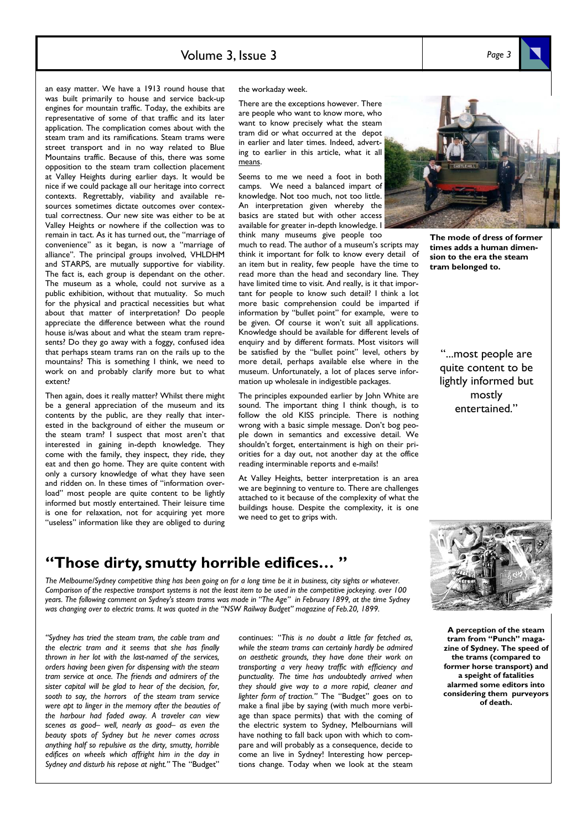*Page 3* 

an easy matter. We have a 1913 round house that was built primarily to house and service back-up engines for mountain traffic. Today, the exhibits are representative of some of that traffic and its later application. The complication comes about with the steam tram and its ramifications. Steam trams were street transport and in no way related to Blue Mountains traffic. Because of this, there was some opposition to the steam tram collection placement at Valley Heights during earlier days. It would be nice if we could package all our heritage into correct contexts. Regrettably, viability and available resources sometimes dictate outcomes over contextual correctness. Our new site was either to be at Valley Heights or nowhere if the collection was to remain in tact. As it has turned out, the "marriage of convenience" as it began, is now a "marriage of alliance". The principal groups involved, VHLDHM and STARPS, are mutually supportive for viability. The fact is, each group is dependant on the other. The museum as a whole, could not survive as a public exhibition, without that mutuality. So much for the physical and practical necessities but what about that matter of interpretation? Do people appreciate the difference between what the round house is/was about and what the steam tram represents? Do they go away with a foggy, confused idea that perhaps steam trams ran on the rails up to the mountains? This is something I think, we need to work on and probably clarify more but to what extent?

Then again, does it really matter? Whilst there might be a general appreciation of the museum and its contents by the public, are they really that interested in the background of either the museum or the steam tram? I suspect that most aren't that interested in gaining in-depth knowledge. They come with the family, they inspect, they ride, they eat and then go home. They are quite content with only a cursory knowledge of what they have seen and ridden on. In these times of "information overload" most people are quite content to be lightly informed but mostly entertained. Their leisure time is one for relaxation, not for acquiring yet more "useless" information like they are obliged to during

the workaday week.

There are the exceptions however. There are people who want to know more, who want to know precisely what the steam tram did or what occurred at the depot in earlier and later times. Indeed, adverting to earlier in this article, what it all means.

Seems to me we need a foot in both camps. We need a balanced impart of knowledge. Not too much, not too little. An interpretation given whereby the basics are stated but with other access available for greater in-depth knowledge. I think many museums give people too

much to read. The author of a museum's scripts may think it important for folk to know every detail of an item but in reality, few people have the time to read more than the head and secondary line. They have limited time to visit. And really, is it that important for people to know such detail? I think a lot more basic comprehension could be imparted if information by "bullet point" for example, were to be given. Of course it won't suit all applications. Knowledge should be available for different levels of enquiry and by different formats. Most visitors will be satisfied by the "bullet point" level, others by more detail, perhaps available else where in the museum. Unfortunately, a lot of places serve information up wholesale in indigestible packages.

The principles expounded earlier by John White are sound. The important thing I think though, is to follow the old KISS principle. There is nothing wrong with a basic simple message. Don't bog people down in semantics and excessive detail. We shouldn't forget, entertainment is high on their priorities for a day out, not another day at the office reading interminable reports and e-mails!

At Valley Heights, better interpretation is an area we are beginning to venture to. There are challenges attached to it because of the complexity of what the buildings house. Despite the complexity, it is one we need to get to grips with.

# **"Those dirty, smutty horrible edifices… "**

*The Melbourne/Sydney competitive thing has been going on for a long time be it in business, city sights or whatever. Comparison of the respective transport systems is not the least item to be used in the competitive jockeying. over 100 years. The following comment on Sydney's steam trams was made in "The Age" in February 1899, at the time Sydney was changing over to electric trams. It was quoted in the "NSW Railway Budget" magazine of Feb.20, 1899.* 

*"Sydney has tried the steam tram, the cable tram and the electric tram and it seems that she has finally thrown in her lot with the last-named of the services, orders having been given for dispensing with the steam tram service at once. The friends and admirers of the sister capital will be glad to hear of the decision, for, sooth to say, the horrors of the steam tram service were apt to linger in the memory after the beauties of the harbour had faded away. A traveler can view scenes as good– well, nearly as good– as even the beauty spots of Sydney but he never comes across anything half so repulsive as the dirty, smutty, horrible edifices on wheels which affright him in the day in Sydney and disturb his repose at night."* The "Budget"

continues: "*This is no doubt a little far fetched as, while the steam trams can certainly hardly be admired on aesthetic grounds, they have done their work on transporting a very heavy traffic with efficiency and punctuality. The time has undoubtedly arrived when they should give way to a more rapid, cleaner and lighter form of traction."* The "Budget" goes on to make a final jibe by saying (with much more verbiage than space permits) that with the coming of the electric system to Sydney, Melbournians will have nothing to fall back upon with which to compare and will probably as a consequence, decide to come an live in Sydney! Interesting how perceptions change. Today when we look at the steam



**The mode of dress of former times adds a human dimension to the era the steam tram belonged to.** 

> "...most people are quite content to be lightly informed but mostly entertained."



**A perception of the steam tram from "Punch" magazine of Sydney. The speed of the trams (compared to former horse transport) and a speight of fatalities alarmed some editors into considering them purveyors of death.**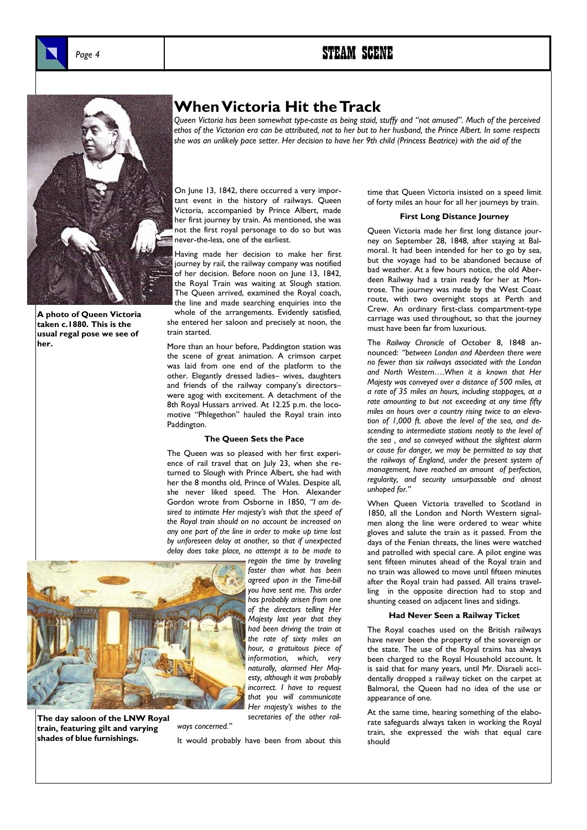

**A photo of Queen Victoria taken c.1880. This is the usual regal pose we see of her.** 

### **When Victoria Hit the Track**

*Queen Victoria has been somewhat type-caste as being staid, stuffy and "not amused". Much of the perceived ethos of the Victorian era can be attributed, not to her but to her husband, the Prince Albert. In some respects she was an unlikely pace setter. Her decision to have her 9th child (Princess Beatrice) with the aid of the* 

On June 13, 1842, there occurred a very important event in the history of railways. Queen Victoria, accompanied by Prince Albert, made her first journey by train. As mentioned, she was not the first royal personage to do so but was never-the-less, one of the earliest.

Having made her decision to make her first journey by rail, the railway company was notified of her decision. Before noon on June 13, 1842, the Royal Train was waiting at Slough station. The Queen arrived, examined the Royal coach, the line and made searching enquiries into the

whole of the arrangements. Evidently satisfied, she entered her saloon and precisely at noon, the train started.

More than an hour before, Paddington station was the scene of great animation. A crimson carpet was laid from one end of the platform to the other. Elegantly dressed ladies– wives, daughters and friends of the railway company's directors– were agog with excitement. A detachment of the 8th Royal Hussars arrived. At 12.25 p.m. the locomotive "Phlegethon" hauled the Royal train into Paddington.

#### **The Queen Sets the Pace**

The Queen was so pleased with her first experience of rail travel that on July 23, when she returned to Slough with Prince Albert, she had with her the 8 months old, Prince of Wales. Despite all, she never liked speed. The Hon. Alexander Gordon wrote from Osborne in 1850, *"I am desired to intimate Her majesty's wish that the speed of the Royal train should on no account be increased on any one part of the line in order to make up time lost by unforeseen delay at another, so that if unexpected delay does take place, no attempt is to be made to* 



**The day saloon of the LNW Royal train, featuring gilt and varying shades of blue furnishings.** 

*regain the time by traveling faster than what has been agreed upon in the Time-bill you have sent me. This order has probably arisen from one of the directors telling Her Majesty last year that they had been driving the train at the rate of sixty miles an hour, a gratuitous piece of information, which, very naturally, alarmed Her Majesty, although it was probably incorrect. I have to request that you will communicate Her majesty's wishes to the secretaries of the other rail-*

*ways concerned."* 

It would probably have been from about this

time that Queen Victoria insisted on a speed limit of forty miles an hour for all her journeys by train.

#### **First Long Distance Journey**

Queen Victoria made her first long distance journey on September 28, 1848, after staying at Balmoral. It had been intended for her to go by sea, but the voyage had to be abandoned because of bad weather. At a few hours notice, the old Aberdeen Railway had a train ready for her at Montrose. The journey was made by the West Coast route, with two overnight stops at Perth and Crew. An ordinary first-class compartment-type carriage was used throughout, so that the journey must have been far from luxurious.

The *Railway Chronicle* of October 8, 1848 announced: *"between London and Aberdeen there were no fewer than six railways associated with the London and North Western….When it is known that Her Majesty was conveyed over a distance of 500 miles, at a rate of 35 miles an hours, including stoppages, at a rate amounting to but not exceeding at any time fifty miles an hours over a country rising twice to an elevation of 1,000 ft. above the level of the sea, and descending to intermediate stations neatly to the level of the sea , and so conveyed without the slightest alarm or cause for danger, we may be permitted to say that the railways of England, under the present system of management, have reached an amount of perfection, regularity, and security unsurpassable and almost unhoped for."* 

When Queen Victoria travelled to Scotland in 1850, all the London and North Western signalmen along the line were ordered to wear white gloves and salute the train as it passed. From the days of the Fenian threats, the lines were watched and patrolled with special care. A pilot engine was sent fifteen minutes ahead of the Royal train and no train was allowed to move until fifteen minutes after the Royal train had passed. All trains travelling in the opposite direction had to stop and shunting ceased on adjacent lines and sidings.

#### **Had Never Seen a Railway Ticket**

The Royal coaches used on the British railways have never been the property of the sovereign or the state. The use of the Royal trains has always been charged to the Royal Household account. It is said that for many years, until Mr. Disraeli accidentally dropped a railway ticket on the carpet at Balmoral, the Queen had no idea of the use or appearance of one.

At the same time, hearing something of the elaborate safeguards always taken in working the Royal train, she expressed the wish that equal care should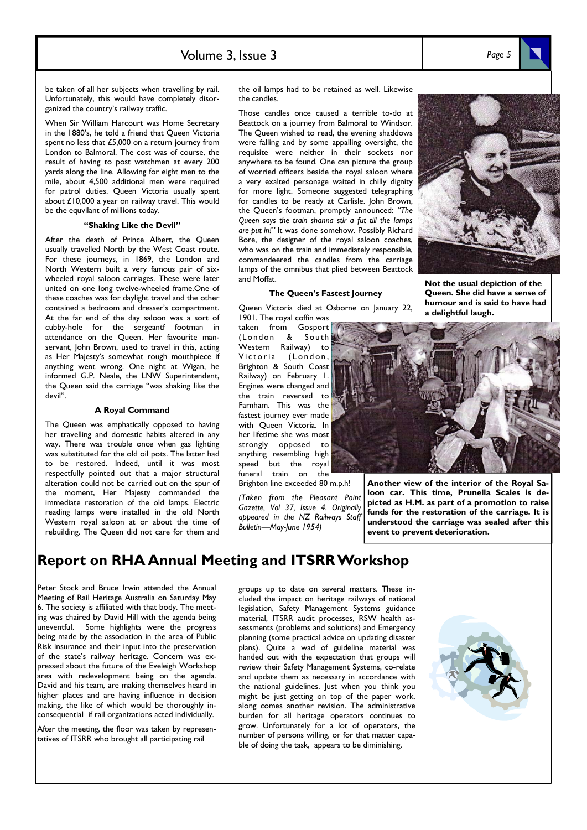### Volume 3, Issue 3 *Page 5*

be taken of all her subjects when travelling by rail. Unfortunately, this would have completely disorganized the country's railway traffic.

When Sir William Harcourt was Home Secretary in the 1880's, he told a friend that Queen Victoria spent no less that £5,000 on a return journey from London to Balmoral. The cost was of course, the result of having to post watchmen at every 200 yards along the line. Allowing for eight men to the mile, about 4,500 additional men were required for patrol duties. Queen Victoria usually spent about £10,000 a year on railway travel. This would be the equvilant of millions today.

#### **"Shaking Like the Devil"**

After the death of Prince Albert, the Queen usually travelled North by the West Coast route. For these journeys, in 1869, the London and North Western built a very famous pair of sixwheeled royal saloon carriages. These were later united on one long twelve-wheeled frame.One of these coaches was for daylight travel and the other contained a bedroom and dresser's compartment. At the far end of the day saloon was a sort of cubby-hole for the sergeantf footman in attendance on the Queen. Her favourite manservant, John Brown, used to travel in this, acting as Her Majesty's somewhat rough mouthpiece if anything went wrong. One night at Wigan, he informed G.P. Neale, the LNW Superintendent, the Queen said the carriage "was shaking like the devil".

#### **A Royal Command**

The Queen was emphatically opposed to having her travelling and domestic habits altered in any way. There was trouble once when gas lighting was substituted for the old oil pots. The latter had to be restored. Indeed, until it was most respectfully pointed out that a major structural alteration could not be carried out on the spur of the moment, Her Majesty commanded the immediate restoration of the old lamps. Electric reading lamps were installed in the old North Western royal saloon at or about the time of rebuilding. The Queen did not care for them and

the oil lamps had to be retained as well. Likewise the candles.

Those candles once caused a terrible to-do at Beattock on a journey from Balmoral to Windsor. The Queen wished to read, the evening shaddows were falling and by some appalling oversight, the requisite were neither in their sockets nor anywhere to be found. One can picture the group of worried officers beside the royal saloon where a very exalted personage waited in chilly dignity for more light. Someone suggested telegraphing for candles to be ready at Carlisle. John Brown, the Queen's footman, promptly announced: *"The Queen says the train shanna stir a fut till the lamps are put in!"* It was done somehow. Possibly Richard Bore, the designer of the royal saloon coaches, who was on the train and immediately responsible, commandeered the candles from the carriage lamps of the omnibus that plied between Beattock and Moffat.



#### **The Queen's Fastest Journey**

Queen Victoria died at Osborne on January 22, 1901. The royal coffin was

taken from Gosport (London & South Western Railway) to Victoria (London, Brighton & South Coast Railway) on February 1. Engines were changed and the train reversed to Farnham. This was the fastest journey ever made with Queen Victoria. In her lifetime she was most strongly opposed to anything resembling high speed but the royal funeral train on the Brighton line exceeded 80 m.p.h!

*(Taken from the Pleasant Point Gazette, Vol 37, Issue 4. Originally appeared in the NZ Railways Staff Bulletin—May-June 1954)* 

**Queen. She did have a sense of humour and is said to have had a delightful laugh.** 



**Another view of the interior of the Royal Saloon car. This time, Prunella Scales is depicted as H.M. as part of a promotion to raise funds for the restoration of the carriage. It is understood the carriage was sealed after this event to prevent deterioration.** 

### **Report on RHA Annual Meeting and ITSRR Workshop**

Peter Stock and Bruce Irwin attended the Annual Meeting of Rail Heritage Australia on Saturday May 6. The society is affiliated with that body. The meeting was chaired by David Hill with the agenda being uneventful. Some highlights were the progress being made by the association in the area of Public Risk insurance and their input into the preservation of the state's railway heritage. Concern was expressed about the future of the Eveleigh Workshop area with redevelopment being on the agenda. David and his team, are making themselves heard in higher places and are having influence in decision making, the like of which would be thoroughly inconsequential if rail organizations acted individually.

After the meeting, the floor was taken by representatives of ITSRR who brought all participating rail

groups up to date on several matters. These included the impact on heritage railways of national legislation, Safety Management Systems guidance material, ITSRR audit processes, RSW health assessments (problems and solutions) and Emergency planning (some practical advice on updating disaster plans). Quite a wad of guideline material was handed out with the expectation that groups will review their Safety Management Systems, co-relate and update them as necessary in accordance with the national guidelines. Just when you think you might be just getting on top of the paper work, along comes another revision. The administrative burden for all heritage operators continues to grow. Unfortunately for a lot of operators, the number of persons willing, or for that matter capable of doing the task, appears to be diminishing.